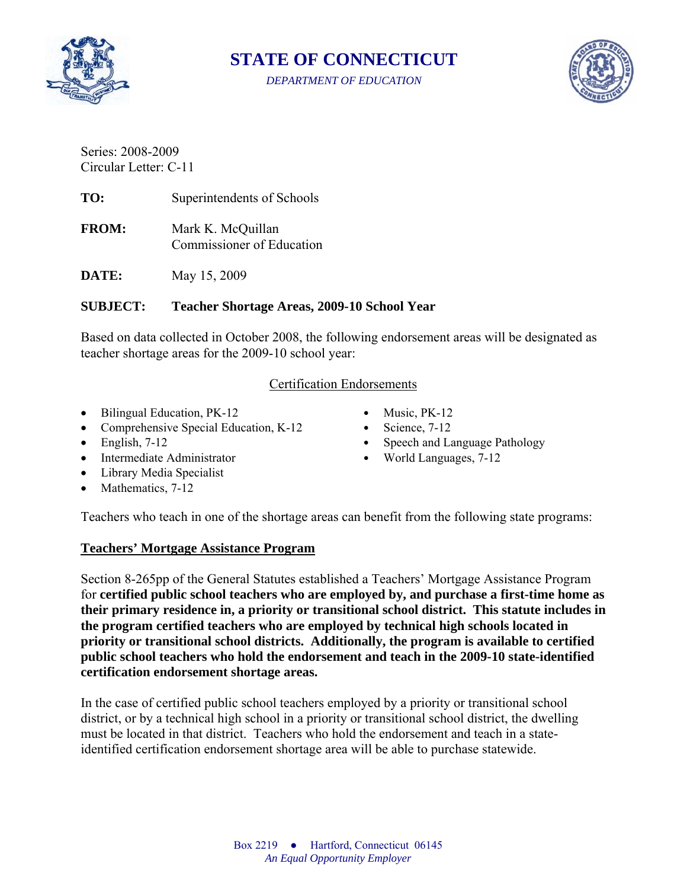

**STATE OF CONNECTICUT** 

*DEPARTMENT OF EDUCATION* 



Series: 2008-2009 Circular Letter: C-11

**TO:** Superintendents of Schools

**FROM:** Mark K. McQuillan Commissioner of Education

**DATE:** May 15, 2009

#### **SUBJECT: Teacher Shortage Areas, 2009-10 School Year**

Based on data collected in October 2008, the following endorsement areas will be designated as teacher shortage areas for the 2009-10 school year:

#### Certification Endorsements

- Bilingual Education, PK-12 Music, PK-12
- Comprehensive Special Education, K-12 Science, 7-12
- 
- Intermediate Administrator World Languages, 7-12
- Library Media Specialist
- Mathematics, 7-12
- 
- 
- English, 7-12 Speech and Language Pathology
	-

Teachers who teach in one of the shortage areas can benefit from the following state programs:

#### **Teachers' Mortgage Assistance Program**

Section 8-265pp of the General Statutes established a Teachers' Mortgage Assistance Program for **certified public school teachers who are employed by, and purchase a first-time home as their primary residence in, a priority or transitional school district. This statute includes in the program certified teachers who are employed by technical high schools located in priority or transitional school districts. Additionally, the program is available to certified public school teachers who hold the endorsement and teach in the 2009-10 state-identified certification endorsement shortage areas.** 

In the case of certified public school teachers employed by a priority or transitional school district, or by a technical high school in a priority or transitional school district, the dwelling must be located in that district. Teachers who hold the endorsement and teach in a stateidentified certification endorsement shortage area will be able to purchase statewide.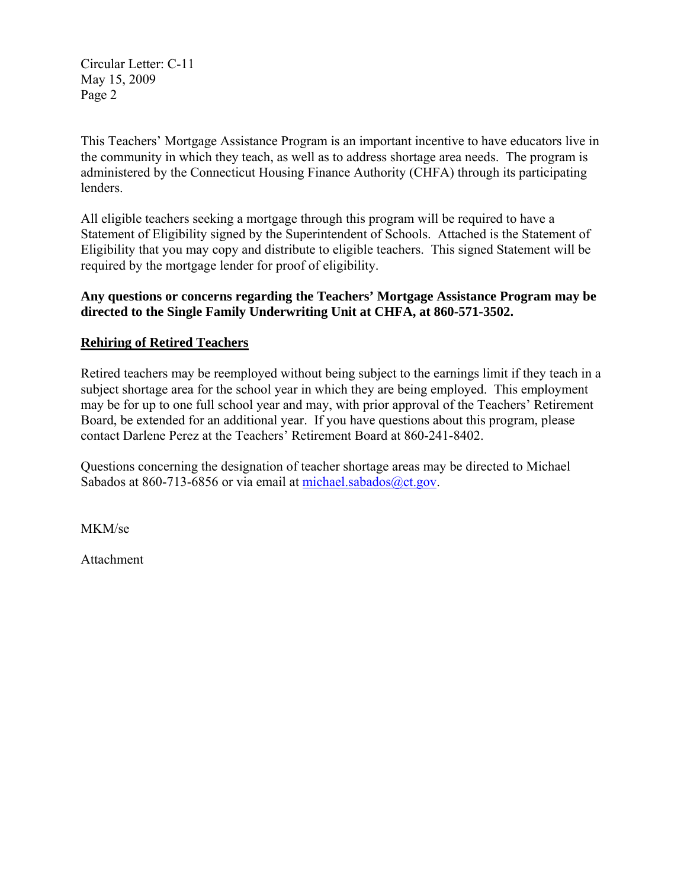Circular Letter: C-11 May 15, 2009 Page 2

This Teachers' Mortgage Assistance Program is an important incentive to have educators live in the community in which they teach, as well as to address shortage area needs. The program is administered by the Connecticut Housing Finance Authority (CHFA) through its participating lenders.

All eligible teachers seeking a mortgage through this program will be required to have a Statement of Eligibility signed by the Superintendent of Schools. Attached is the Statement of Eligibility that you may copy and distribute to eligible teachers. This signed Statement will be required by the mortgage lender for proof of eligibility.

### **Any questions or concerns regarding the Teachers' Mortgage Assistance Program may be directed to the Single Family Underwriting Unit at CHFA, at 860-571-3502.**

## **Rehiring of Retired Teachers**

Retired teachers may be reemployed without being subject to the earnings limit if they teach in a subject shortage area for the school year in which they are being employed. This employment may be for up to one full school year and may, with prior approval of the Teachers' Retirement Board, be extended for an additional year. If you have questions about this program, please contact Darlene Perez at the Teachers' Retirement Board at 860-241-8402.

Questions concerning the designation of teacher shortage areas may be directed to Michael Sabados at 860-713-6856 or via email at michael.sabados@ct.gov.

MKM/se

Attachment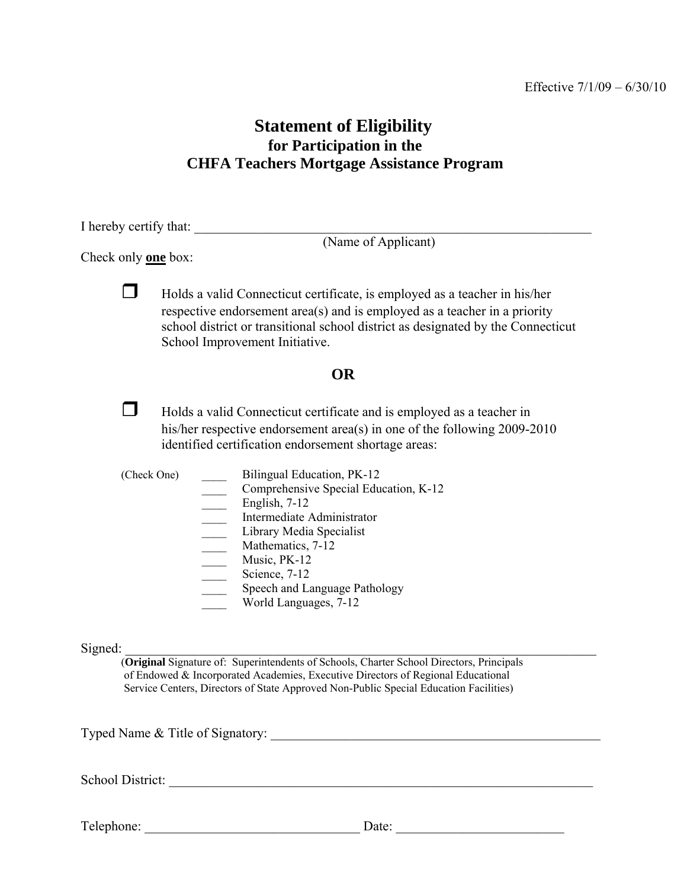# **Statement of Eligibility for Participation in the CHFA Teachers Mortgage Assistance Program**

I hereby certify that:

(Name of Applicant)

Check only **one** box:

 $\Box$  Holds a valid Connecticut certificate, is employed as a teacher in his/her respective endorsement area(s) and is employed as a teacher in a priority school district or transitional school district as designated by the Connecticut School Improvement Initiative.

## **OR**

 $\Box$  Holds a valid Connecticut certificate and is employed as a teacher in his/her respective endorsement area(s) in one of the following 2009-2010 identified certification endorsement shortage areas:

(Check One) \_\_\_\_ Bilingual Education, PK-12 Comprehensive Special Education, K-12 English, 7-12 \_\_\_\_ Intermediate Administrator \_\_\_\_ Library Media Specialist Mathematics, 7-12 Music, PK-12 Science, 7-12 Speech and Language Pathology \_\_\_\_ World Languages, 7-12

 $Signed:$ 

 (**Original** Signature of: Superintendents of Schools, Charter School Directors, Principals of Endowed & Incorporated Academies, Executive Directors of Regional Educational Service Centers, Directors of State Approved Non-Public Special Education Facilities)

Typed Name & Title of Signatory:

School District: \_\_\_\_\_\_\_\_\_\_\_\_\_\_\_\_\_\_\_\_\_\_\_\_\_\_\_\_\_\_\_\_\_\_\_\_\_\_\_\_\_\_\_\_\_\_\_\_\_\_\_\_\_\_\_\_\_\_\_\_\_\_\_

Telephone: \_\_\_\_\_\_\_\_\_\_\_\_\_\_\_\_\_\_\_\_\_\_\_\_\_\_\_\_\_\_\_\_ Date: \_\_\_\_\_\_\_\_\_\_\_\_\_\_\_\_\_\_\_\_\_\_\_\_\_